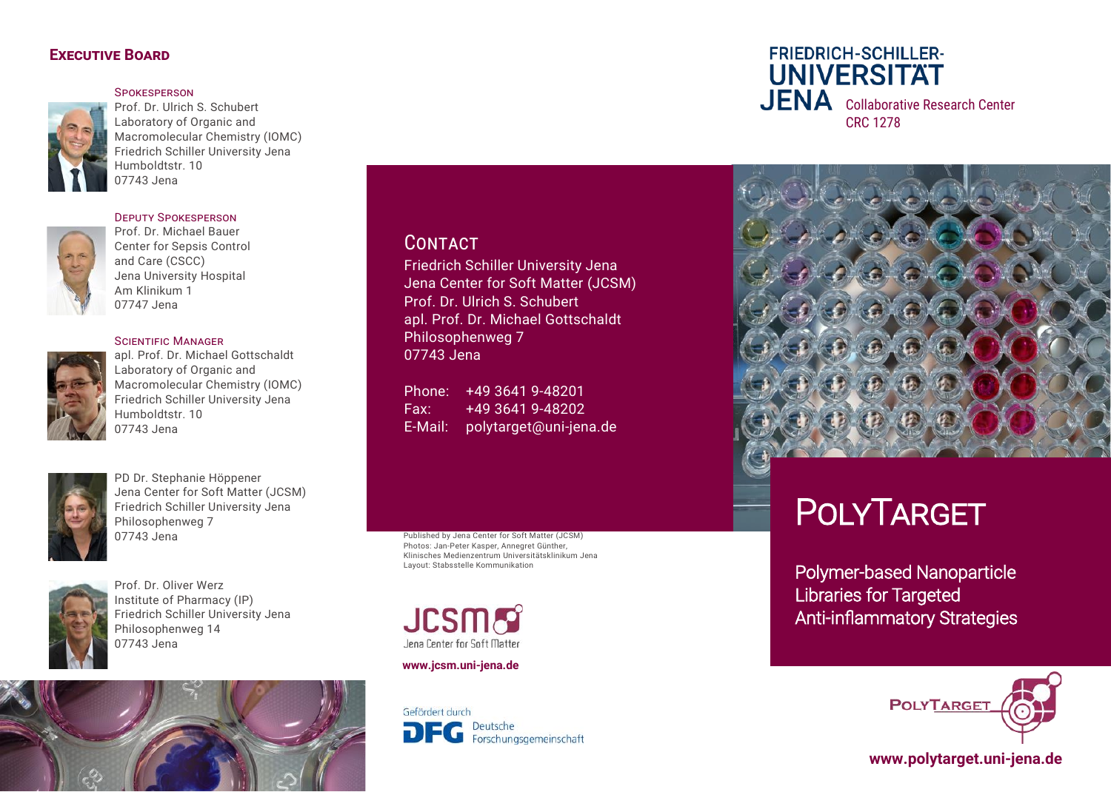#### **Executive Board**

**SPOKESPERSON** 

Prof. Dr. Ulrich S. Schubert Laboratory of Organic and Macromolecular Chemistry (IOMC) Friedrich Schiller University Jena Humboldtstr. 10 07743 Jena

### Deputy Spokesperson



Prof. Dr. Michael Bauer Center for Sepsis Control and Care (CSCC) Jena University Hospital Am Klinikum 1 07747 Jena

#### Scientific Manager



apl. Prof. Dr. Michael Gottschaldt Laboratory of Organic and Macromolecular Chemistry (IOMC) Friedrich Schiller University Jena Humboldtstr. 10 07743 Jena



PD Dr. Stephanie Höppener Jena Center for Soft Matter (JCSM) Friedrich Schiller University Jena Philosophenweg 7 07743 Jena



*Foto*  Institute of Pharmacy (IP) Friedrich Schiller University Jena Prof. Dr. Oliver Werz Philosophenweg 14 07743 Jena

# **CONTACT**

Friedrich Schiller University Jena Jena Center for Soft Matter (JCSM) Prof. Dr. Ulrich S. Schubert apl. Prof. Dr. Michael Gottschaldt Philosophenweg 7 07743 Jena

Phone: +49 3641 9-48201 Fax: +49 3641 9-48202 E-Mail: polytarget@uni-jena.de

Published by Jena Center for Soft Matter (JCSM) Photos: Jan-Peter Kasper, Annegret Günther, Klinisches Medienzentrum Universitätsklinikum Jena Layout: Stabsstelle Kommunikation

**JCSMS** Jena Center for Soft Matter

#### **www.jcsm.uni-jena.de**

Gefördert durch Deutsche DFG Forschungsgemeinschaft

**FRIEDRICH-SCHILLER-UNIVERSITAT** JENA Collaborative Research Center CRC 1278



# **POLYTARGET**

Polymer-based Nanoparticle Libraries for Targeted Anti-inflammatory Strategies



# **www.polytarget.uni-jena.de**